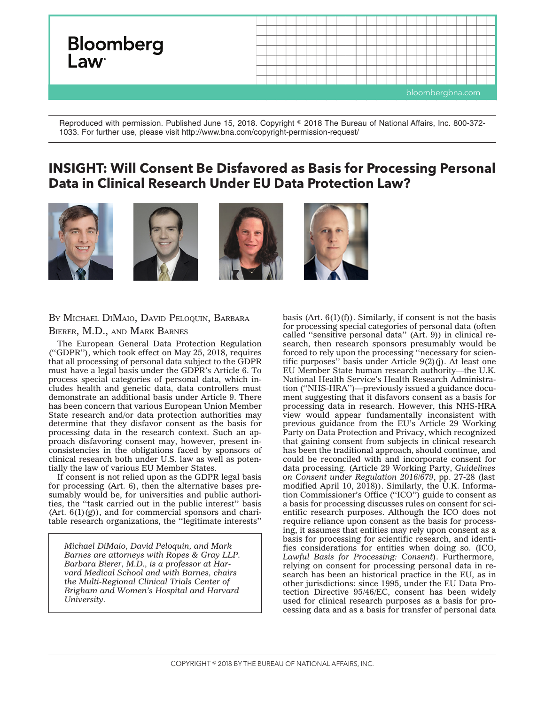

Reproduced with permission. Published June 15, 2018. Copyright © 2018 The Bureau of National Affairs, Inc. 800-372-1033. For further use, please visit http://www.bna.com/copyright-permission-request/

## **INSIGHT: Will Consent Be Disfavored as Basis for Processing Personal Data in Clinical Research Under EU Data Protection Law?**









## BY MICHAEL DIMAIO, DAVID PELOQUIN, BARBARA BIERER, M.D., AND MARK BARNES

The European General Data Protection Regulation (''GDPR''), which took effect on May 25, 2018, requires that all processing of personal data subject to the GDPR must have a legal basis under the GDPR's Article 6. To process special categories of personal data, which includes health and genetic data, data controllers must demonstrate an additional basis under Article 9. There has been concern that various European Union Member State research and/or data protection authorities may determine that they disfavor consent as the basis for processing data in the research context. Such an approach disfavoring consent may, however, present inconsistencies in the obligations faced by sponsors of clinical research both under U.S. law as well as potentially the law of various EU Member States.

If consent is not relied upon as the GDPR legal basis for processing (Art. 6), then the alternative bases presumably would be, for universities and public authorities, the ''task carried out in the public interest'' basis  $(Art. 6(1)(g))$ , and for commercial sponsors and charitable research organizations, the ''legitimate interests''

*Michael DiMaio, David Peloquin, and Mark Barnes are attorneys with Ropes & Gray LLP. Barbara Bierer, M.D., is a professor at Harvard Medical School and with Barnes, chairs the Multi-Regional Clinical Trials Center of Brigham and Women's Hospital and Harvard University.*

basis (Art.  $6(1)(f)$ ). Similarly, if consent is not the basis for processing special categories of personal data (often called ''sensitive personal data'' (Art. 9)) in clinical research, then research sponsors presumably would be forced to rely upon the processing ''necessary for scientific purposes'' basis under Article 9(2)(j). At least one EU Member State human research authority—the U.K. National Health Service's Health Research Administration (''NHS-HRA'')—previously issued a [guidance docu](https://www.hra.nhs.uk/planning-and-improving-research/policies-standards-legislation/data-protection-and-information-governance/gdpr-guidance/what-law-says/consent-research/)[ment](https://www.hra.nhs.uk/planning-and-improving-research/policies-standards-legislation/data-protection-and-information-governance/gdpr-guidance/what-law-says/consent-research/) suggesting that it disfavors consent as a basis for processing data in research. However, this NHS-HRA view would appear fundamentally inconsistent with previous guidance from the EU's Article 29 Working Party on Data Protection and Privacy, which recognized that gaining consent from subjects in clinical research has been the traditional approach, should continue, and could be reconciled with and incorporate consent for data processing. (Article 29 Working Party, *[Guidelines](http://ec.europa.eu/newsroom/article29/item-detail.cfm?item_id=623051) [on Consent under Regulation 2016/679](http://ec.europa.eu/newsroom/article29/item-detail.cfm?item_id=623051)*, pp. 27-28 (last modified April 10, 2018)). Similarly, the U.K. Information Commissioner's Office (''ICO'') guide to consent as a basis for processing discusses rules on consent for scientific research purposes. Although the ICO does not require reliance upon consent as the basis for processing, it assumes that entities may rely upon consent as a basis for processing for scientific research, and identifies considerations for entities when doing so. (ICO, *[Lawful Basis for Processing: Consent](https://ico.org.uk/for-organisations/guide-to-the-general-data-protection-regulation-gdpr/consent/what-is-valid-consent/?q=research)*). Furthermore, relying on consent for processing personal data in research has been an historical practice in the EU, as in other jurisdictions: since 1995, under the EU Data Protection Directive 95/46/EC, consent has been widely used for clinical research purposes as a basis for processing data and as a basis for transfer of personal data